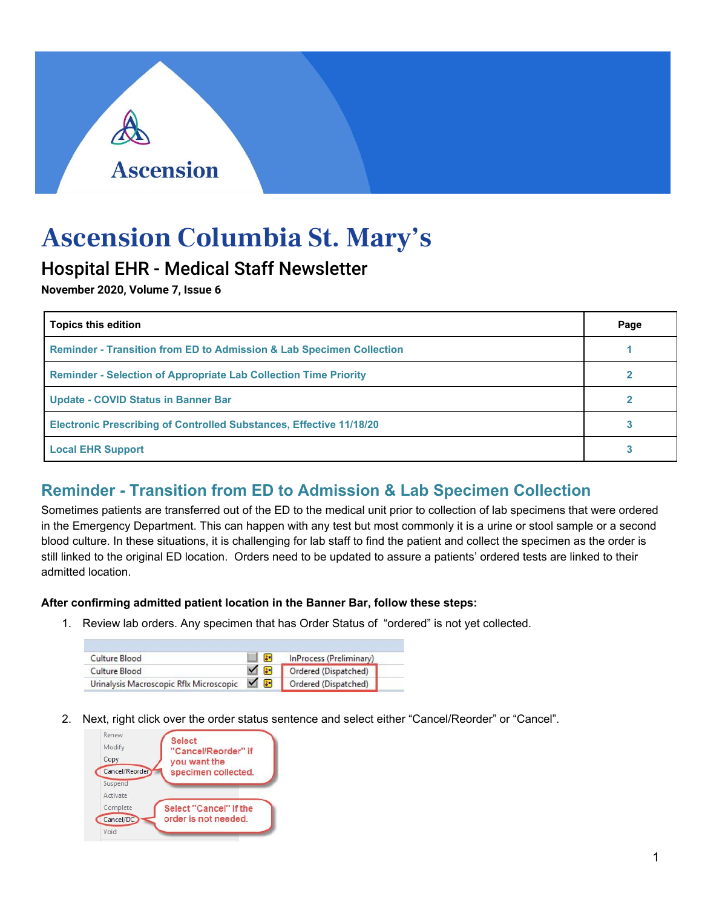## **Ascension**

# **Ascension Columbia St. Mary's**

### Hospital EHR - Medical Staff Newsletter

**November 2020, Volume 7, Issue 6**

| <b>Topics this edition</b>                                                      | Page |
|---------------------------------------------------------------------------------|------|
| <b>Reminder - Transition from ED to Admission &amp; Lab Specimen Collection</b> |      |
| <b>Reminder - Selection of Appropriate Lab Collection Time Priority</b>         |      |
| <b>Update - COVID Status in Banner Bar</b>                                      |      |
| <b>Electronic Prescribing of Controlled Substances, Effective 11/18/20</b>      |      |
| <b>Local EHR Support</b>                                                        |      |

### **Reminder - Transition from ED to Admission & Lab Specimen Collection**

Sometimes patients are transferred out of the ED to the medical unit prior to collection of lab specimens that were ordered in the Emergency Department. This can happen with any test but most commonly it is a urine or stool sample or a second blood culture. In these situations, it is challenging for lab staff to find the patient and collect the specimen as the order is still linked to the original ED location. Orders need to be updated to assure a patients' ordered tests are linked to their admitted location.

#### **After confirming admitted patient location in the Banner Bar, follow these steps:**

1. Review lab orders. Any specimen that has Order Status of "ordered" is not yet collected.

| Culture Blood                             | la - | InProcess (Preliminary) |
|-------------------------------------------|------|-------------------------|
| Culture Blood                             | ⊻⊫   | Ordered (Dispatched)    |
| Urinalysis Macroscopic Rflx Microscopic V |      | Ordered (Dispatched)    |

2. Next, right click over the order status sentence and select either "Cancel/Reorder" or "Cancel".

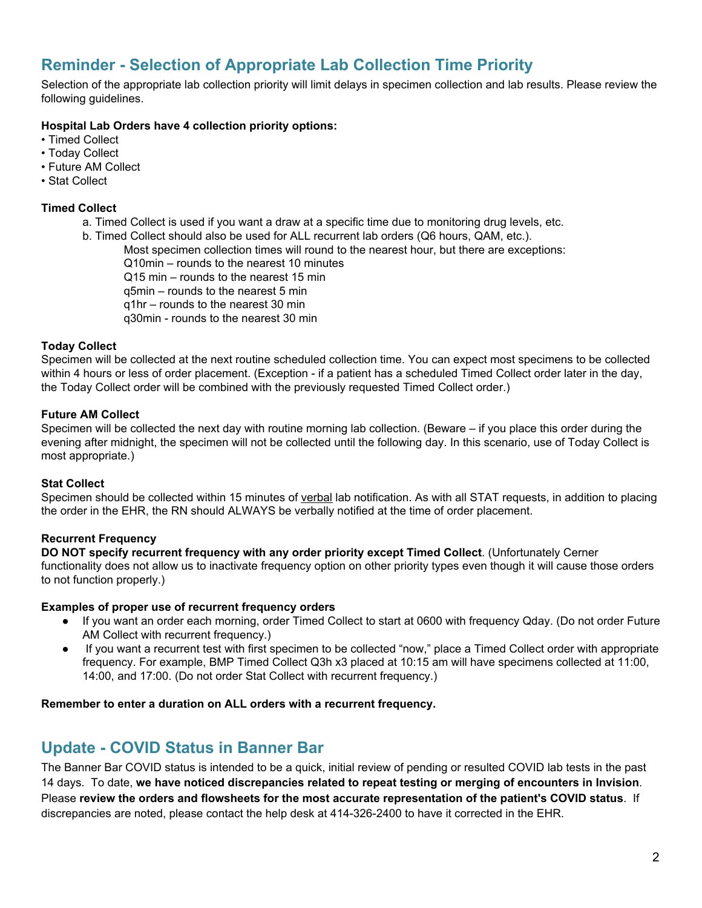### **Reminder - Selection of Appropriate Lab Collection Time Priority**

Selection of the appropriate lab collection priority will limit delays in specimen collection and lab results. Please review the following guidelines.

#### **Hospital Lab Orders have 4 collection priority options:**

- Timed Collect
- Today Collect
- Future AM Collect
- Stat Collect

#### **Timed Collect**

- a. Timed Collect is used if you want a draw at a specific time due to monitoring drug levels, etc.
- b. Timed Collect should also be used for ALL recurrent lab orders (Q6 hours, QAM, etc.).

Most specimen collection times will round to the nearest hour, but there are exceptions:

Q10min – rounds to the nearest 10 minutes

Q15 min – rounds to the nearest 15 min

q5min – rounds to the nearest 5 min

q1hr – rounds to the nearest 30 min

q30min - rounds to the nearest 30 min

#### **Today Collect**

Specimen will be collected at the next routine scheduled collection time. You can expect most specimens to be collected within 4 hours or less of order placement. (Exception - if a patient has a scheduled Timed Collect order later in the day, the Today Collect order will be combined with the previously requested Timed Collect order.)

#### **Future AM Collect**

Specimen will be collected the next day with routine morning lab collection. (Beware – if you place this order during the evening after midnight, the specimen will not be collected until the following day. In this scenario, use of Today Collect is most appropriate.)

#### **Stat Collect**

Specimen should be collected within 15 minutes of verbal lab notification. As with all STAT requests, in addition to placing the order in the EHR, the RN should ALWAYS be verbally notified at the time of order placement.

#### **Recurrent Frequency**

**DO NOT specify recurrent frequency with any order priority except Timed Collect**. (Unfortunately Cerner functionality does not allow us to inactivate frequency option on other priority types even though it will cause those orders to not function properly.)

#### **Examples of proper use of recurrent frequency orders**

- If you want an order each morning, order Timed Collect to start at 0600 with frequency Qday. (Do not order Future AM Collect with recurrent frequency.)
- If you want a recurrent test with first specimen to be collected "now," place a Timed Collect order with appropriate frequency. For example, BMP Timed Collect Q3h x3 placed at 10:15 am will have specimens collected at 11:00, 14:00, and 17:00. (Do not order Stat Collect with recurrent frequency.)

#### **Remember to enter a duration on ALL orders with a recurrent frequency.**

#### **Update - COVID Status in Banner Bar**

The Banner Bar COVID status is intended to be a quick, initial review of pending or resulted COVID lab tests in the past 14 days. To date, **we have noticed discrepancies related to repeat testing or merging of encounters in Invision**. Please **review the orders and flowsheets for the most accurate representation of the patient's COVID status**. If discrepancies are noted, please contact the help desk at 414-326-2400 to have it corrected in the EHR.